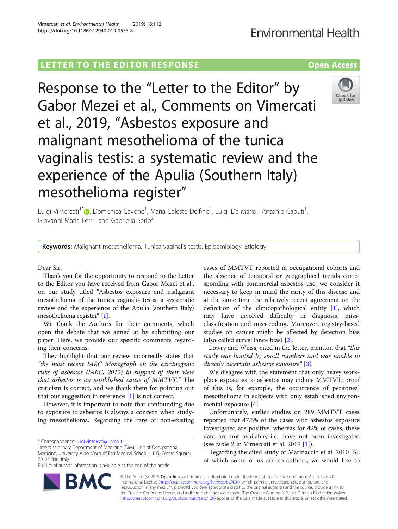# **Environmental Health**

## LETTER TO THE EDITOR RESPONSE CONTROLLER TO THE EDITOR RESPONSE

Response to the "Letter to the Editor" by Gabor Mezei et al., Comments on Vimercati et al., 2019, "Asbestos exposure and malignant mesothelioma of the tunica vaginalis testis: a systematic review and the experience of the Apulia (Southern Italy) mesothelioma register"



**Keywords:** Malignant mesothelioma, Tunica vaginalis testis, Epidemiology, Etiology

Dear Sir,

Thank you for the opportunity to respond to the Letter to the Editor you have received from Gabor Mezei et al., on our study titled "Asbestos exposure and malignant mesothelioma of the tunica vaginalis testis: a systematic review and the experience of the Apulia (southern Italy) mesothelioma register" [\[1](#page-1-0)].

We thank the Authors for their comments, which open the debate that we aimed at by submitting our paper. Here, we provide our specific comments regarding their concerns.

They highlight that our review incorrectly states that "the most recent IARC Monograph on the carcinogenic risks of asbestos (IARC, 2012) in support of their view that asbestos is an established cause of MMTVT." The criticism is correct, and we thank them for pointing out that our suggestion in reference  $[1]$  $[1]$  is not correct.

However, it is important to note that confounding due to exposure to asbestos is always a concern when studying mesothelioma. Regarding the rare or non-existing

<sup>1</sup>Interdisciplinary Department of Medicine (DIM), Unit of Occupational Medicine, University Aldo Moro of Bari Medical School, 11 G. Cesare Square, 70124 Bari, Italy

Full list of author information is available at the end of the article

cases of MMTVT reported in occupational cohorts and the absence of temporal or geographical trends corresponding with commercial asbestos use, we consider it necessary to keep in mind the rarity of this disease and at the same time the relatively recent agreement on the definition of the clinicopathological entity [[1\]](#page-1-0), which may have involved difficulty in diagnosis, missclassification and miss-coding. Moreover, registry-based studies on cancer might be affected by detection bias (also called surveillance bias) [\[2](#page-1-0)].

Lowry and Weiss, cited in the letter, mention that "this study was limited by small numbers and was unable to directly ascertain asbestos exposure" [[3\]](#page-1-0).

We disagree with the statement that only heavy workplace exposures to asbestos may induce MMTVT; proof of this is, for example, the occurrence of peritoneal mesothelioma in subjects with only established environmental exposure [[4\]](#page-1-0).

Unfortunately, earlier studies on 289 MMTVT cases reported that 47.6% of the cases with asbestos exposure investigated are positive, whereas for 42% of cases, these data are not available, i.e., have not been investigated (see table 2 in Vimercati et al. 2019 [\[1\]](#page-1-0)).

Regarding the cited study of Marinaccio et al. 2010 [\[5](#page-1-0)], of which some of us are co-authors, we would like to



© The Author(s). 2019 Open Access This article is distributed under the terms of the Creative Commons Attribution 4.0 International License [\(http://creativecommons.org/licenses/by/4.0/](http://creativecommons.org/licenses/by/4.0/)), which permits unrestricted use, distribution, and reproduction in any medium, provided you give appropriate credit to the original author(s) and the source, provide a link to the Creative Commons license, and indicate if changes were made. The Creative Commons Public Domain Dedication waiver [\(http://creativecommons.org/publicdomain/zero/1.0/](http://creativecommons.org/publicdomain/zero/1.0/)) applies to the data made available in this article, unless otherwise stated.





<sup>\*</sup> Correspondence: [luigi.vimercati@uniba.it](mailto:luigi.vimercati@uniba.it) <sup>1</sup>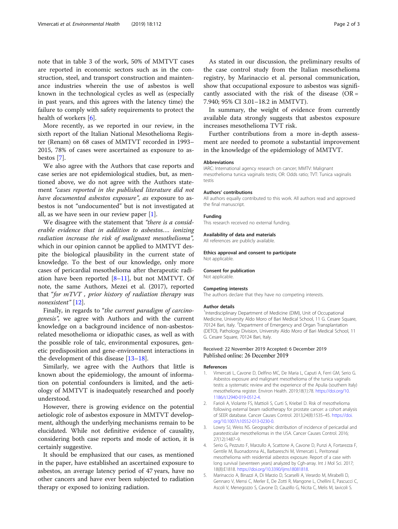<span id="page-1-0"></span>note that in table 3 of the work, 50% of MMTVT cases are reported in economic sectors such as in the construction, steel, and transport construction and maintenance industries wherein the use of asbestos is well known in the technological cycles as well as (especially in past years, and this agrees with the latency time) the failure to comply with safety requirements to protect the health of workers [\[6](#page-2-0)].

More recently, as we reported in our review, in the sixth report of the Italian National Mesothelioma Register (Renam) on 68 cases of MMTVT recorded in 1993– 2015, 78% of cases were ascertained as exposure to asbestos [\[7](#page-2-0)].

We also agree with the Authors that case reports and case series are not epidemiological studies, but, as mentioned above, we do not agree with the Authors statement "cases reported in the published literature did not have documented asbestos exposure", as exposure to asbestos is not "undocumented" but is not investigated at all, as we have seen in our review paper [1].

We disagree with the statement that "there is a considerable evidence that in addition to asbestos…. ionizing radiation increase the risk of malignant mesothelioma", which in our opinion cannot be applied to MMTVT despite the biological plausibility in the current state of knowledge. To the best of our knowledge, only more cases of pericardial mesothelioma after therapeutic radiation have been reported [[8](#page-2-0)–[11\]](#page-2-0), but not MMTVT. Of note, the same Authors, Mezei et al. (2017), reported that "for mTVT , prior history of radiation therapy was nonexistent" [\[12](#page-2-0)].

Finally, in regards to "the current paradigm of carcinogenesis", we agree with Authors and with the current knowledge on a background incidence of non-asbestosrelated mesothelioma or idiopathic cases, as well as with the possible role of talc, environmental exposures, genetic predisposition and gene-environment interactions in the development of this disease [\[13](#page-2-0)–[18\]](#page-2-0).

Similarly, we agree with the Authors that little is known about the epidemiology, the amount of information on potential confounders is limited, and the aetiology of MMTVT is inadequately researched and poorly understood.

However, there is growing evidence on the potential aetiologic role of asbestos exposure in MMTVT development, although the underlying mechanisms remain to be elucidated. While not definitive evidence of causality, considering both case reports and mode of action, it is certainly suggestive.

It should be emphasized that our cases, as mentioned in the paper, have established an ascertained exposure to asbestos, an average latency period of 47 years, have no other cancers and have ever been subjected to radiation therapy or exposed to ionizing radiation.

As stated in our discussion, the preliminary results of the case control study from the Italian mesothelioma registry, by Marinaccio et al. personal communication, show that occupational exposure to asbestos was significantly associated with the risk of the disease ( $OR =$ 7.940; 95% CI 3.01–18.2 in MMTVT).

In summary, the weight of evidence from currently available data strongly suggests that asbestos exposure increases mesothelioma TVT risk.

Further contributions from a more in-depth assessment are needed to promote a substantial improvement in the knowledge of the epidemiology of MMTVT.

#### Abbreviations

IARC: International agency research on cancer; MMTV: Malignant mesothelioma tunica vaginalis testis; OR: Odds ratio; TVT: Tunica vaginalis testis

#### Authors' contributions

All authors equally contributed to this work. All authors read and approved the final manuscript.

#### Funding

This research received no external funding.

#### Availability of data and materials

All references are publicly available.

## Ethics approval and consent to participate

Not applicable.

#### Consent for publication

Not applicable.

#### Competing interests

The authors declare that they have no competing interests.

#### Author details

<sup>1</sup>Interdisciplinary Department of Medicine (DIM), Unit of Occupational Medicine, University Aldo Moro of Bari Medical School, 11 G. Cesare Square, 70124 Bari, Italy. <sup>2</sup> Department of Emergency and Organ Transplantation (DETO), Pathology Division, University Aldo Moro of Bari Medical School, 11 G. Cesare Square, 70124 Bari, Italy.

#### Received: 22 November 2019 Accepted: 6 December 2019 Published online: 26 December 2019

#### References

- Vimercati L, Cavone D, Delfino MC, De Maria L, Caputi A, Ferri GM, Serio G. Asbestos exposure and malignant mesothelioma of the tunica vaginalis testis: a systematic review and the experience of the Apulia (southern Italy) mesothelioma register. Environ Health. 2019;18(1):78. [https://doi.org/10.](https://doi.org/10.1186/s12940-019-0512-4) [1186/s12940-019-0512-4](https://doi.org/10.1186/s12940-019-0512-4).
- 2. Farioli A, Violante FS, Mattioli S, Curti S, Kriebel D. Risk of mesothelioma following external beam radiotherapy for prostate cancer: a cohort analysis of SEER database. Cancer Causes Control. 2013;24(8):1535–45. [https://doi.](https://doi.org/10.1007/s10552-013-0230-0) [org/10.1007/s10552-013-0230-0](https://doi.org/10.1007/s10552-013-0230-0).
- 3. Lowry SJ, Weiss NS. Geographic distribution of incidence of pericardial and paratesticular mesotheliomas in the USA. Cancer Causes Control. 2016; 27(12):1487–9.
- 4. Serio G, Pezzuto F, Marzullo A, Scattone A, Cavone D, Punzi A, Fortarezza F, Gentile M, Buonadonna AL, Barbareschi M, Vimercati L. Peritoneal mesothelioma with residential asbestos exposure. Report of a case with long survival (seventeen years) analyzed by Cgh-array. Int J Mol Sci. 2017; 18(8):E1818. [https://doi.org/10.3390/ijms18081818.](https://doi.org/10.3390/ijms18081818)
- 5. Marinaccio A, Binazzi A, Di Marzio D, Scarselli A, Verardo M, Mirabelli D, Gennaro V, Mensi C, Merler E, De Zotti R, Mangone L, Chellini E, Pascucci C, Ascoli V, Menegozzo S, Cavone D, Cauzillo G, Nicita C, Melis M, Iavicoli S.